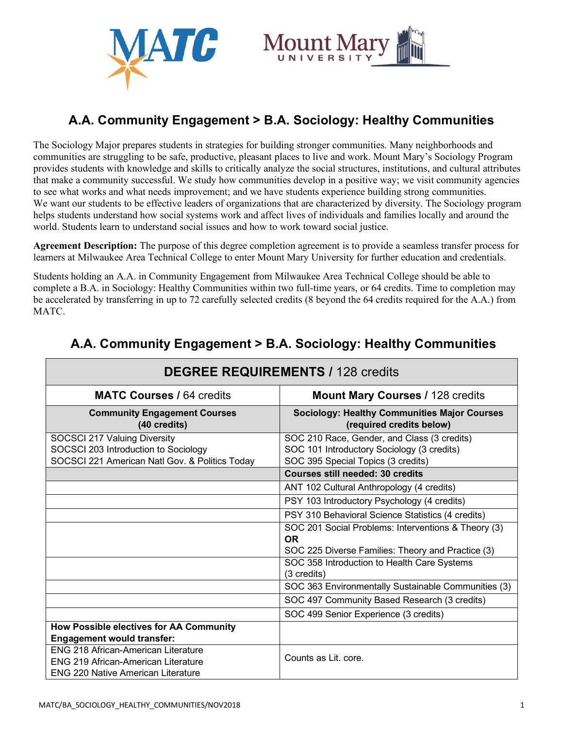



# **A.A. Community Engagement > B.A. Sociology: Healthy Communities**

The Sociology Major prepares students in strategies for building stronger communities. Many neighborhoods and communities are struggling to be safe, productive, pleasant places to live and work. Mount Mary's Sociology Program provides students with knowledge and skills to critically analyze the social structures, institutions, and cultural attributes that make a community successful. We study how communities develop in a positive way; we visit community agencies to see what works and what needs improvement; and we have students experience building strong communities. We want our students to be effective leaders of organizations that are characterized by diversity. The Sociology program helps students understand how social systems work and affect lives of individuals and families locally and around the world. Students learn to understand social issues and how to work toward social justice.

**Agreement Description:** The purpose of this degree completion agreement is to provide a seamless transfer process for learners at Milwaukee Area Technical College to enter Mount Mary University for further education and credentials.

Students holding an A.A. in Community Engagement from Milwaukee Area Technical College should be able to complete a B.A. in Sociology: Healthy Communities within two full-time years, or 64 credits. Time to completion may be accelerated by transferring in up to 72 carefully selected credits (8 beyond the 64 credits required for the A.A.) from MATC.

| <b>DEGREE REQUIREMENTS / 128 credits</b>                                                |                                                                                           |
|-----------------------------------------------------------------------------------------|-------------------------------------------------------------------------------------------|
| <b>MATC Courses / 64 credits</b>                                                        | <b>Mount Mary Courses / 128 credits</b>                                                   |
| <b>Community Engagement Courses</b><br>(40 credits)                                     | <b>Sociology: Healthy Communities Major Courses</b><br>(required credits below)           |
| SOCSCI 217 Valuing Diversity<br>SOCSCI 203 Introduction to Sociology                    | SOC 210 Race, Gender, and Class (3 credits)<br>SOC 101 Introductory Sociology (3 credits) |
| SOCSCI 221 American Natl Gov. & Politics Today                                          | SOC 395 Special Topics (3 credits)                                                        |
|                                                                                         | <b>Courses still needed: 30 credits</b>                                                   |
|                                                                                         | ANT 102 Cultural Anthropology (4 credits)                                                 |
|                                                                                         | PSY 103 Introductory Psychology (4 credits)                                               |
|                                                                                         | PSY 310 Behavioral Science Statistics (4 credits)                                         |
|                                                                                         | SOC 201 Social Problems: Interventions & Theory (3)<br><b>OR</b>                          |
|                                                                                         | SOC 225 Diverse Families: Theory and Practice (3)                                         |
|                                                                                         | SOC 358 Introduction to Health Care Systems                                               |
|                                                                                         | (3 credits)                                                                               |
|                                                                                         | SOC 363 Environmentally Sustainable Communities (3)                                       |
|                                                                                         | SOC 497 Community Based Research (3 credits)                                              |
|                                                                                         | SOC 499 Senior Experience (3 credits)                                                     |
| <b>How Possible electives for AA Community</b>                                          |                                                                                           |
| <b>Engagement would transfer:</b>                                                       |                                                                                           |
| <b>ENG 218 African-American Literature</b>                                              |                                                                                           |
| <b>ENG 219 African-American Literature</b><br><b>ENG 220 Native American Literature</b> | Counts as Lit. core.                                                                      |

# **A.A. Community Engagement > B.A. Sociology: Healthy Communities**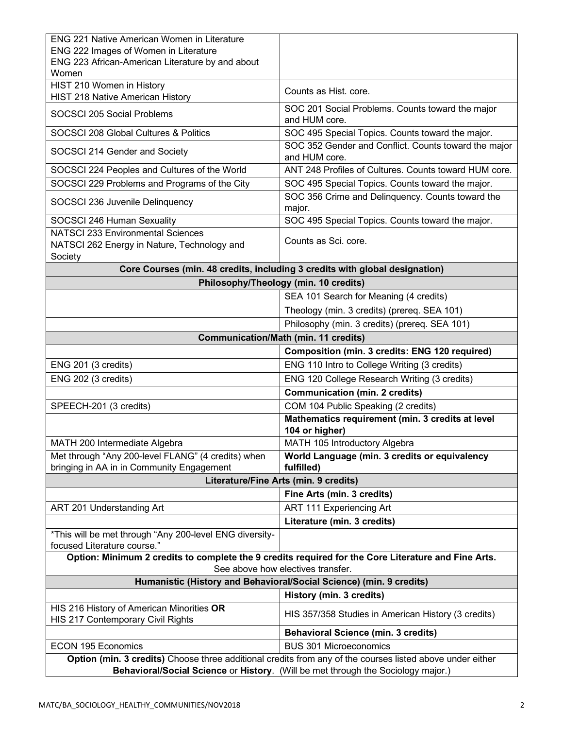| <b>ENG 221 Native American Women in Literature</b>                                                        |                                                                                                     |
|-----------------------------------------------------------------------------------------------------------|-----------------------------------------------------------------------------------------------------|
| ENG 222 Images of Women in Literature                                                                     |                                                                                                     |
| ENG 223 African-American Literature by and about<br>Women                                                 |                                                                                                     |
| HIST 210 Women in History                                                                                 |                                                                                                     |
| HIST 218 Native American History                                                                          | Counts as Hist. core.                                                                               |
| SOCSCI 205 Social Problems                                                                                | SOC 201 Social Problems. Counts toward the major<br>and HUM core.                                   |
| SOCSCI 208 Global Cultures & Politics                                                                     | SOC 495 Special Topics. Counts toward the major.                                                    |
| SOCSCI 214 Gender and Society                                                                             | SOC 352 Gender and Conflict. Counts toward the major<br>and HUM core.                               |
| SOCSCI 224 Peoples and Cultures of the World                                                              | ANT 248 Profiles of Cultures. Counts toward HUM core.                                               |
| SOCSCI 229 Problems and Programs of the City                                                              | SOC 495 Special Topics. Counts toward the major.                                                    |
| SOCSCI 236 Juvenile Delinquency                                                                           | SOC 356 Crime and Delinquency. Counts toward the<br>major.                                          |
| SOCSCI 246 Human Sexuality                                                                                | SOC 495 Special Topics. Counts toward the major.                                                    |
| <b>NATSCI 233 Environmental Sciences</b>                                                                  |                                                                                                     |
| NATSCI 262 Energy in Nature, Technology and                                                               | Counts as Sci. core.                                                                                |
| Society                                                                                                   | Core Courses (min. 48 credits, including 3 credits with global designation)                         |
| Philosophy/Theology (min. 10 credits)                                                                     |                                                                                                     |
|                                                                                                           | SEA 101 Search for Meaning (4 credits)                                                              |
|                                                                                                           | Theology (min. 3 credits) (prereq. SEA 101)                                                         |
|                                                                                                           | Philosophy (min. 3 credits) (prereq. SEA 101)                                                       |
|                                                                                                           | <b>Communication/Math (min. 11 credits)</b>                                                         |
|                                                                                                           | Composition (min. 3 credits: ENG 120 required)                                                      |
|                                                                                                           |                                                                                                     |
| ENG 201 (3 credits)                                                                                       | ENG 110 Intro to College Writing (3 credits)                                                        |
| ENG 202 (3 credits)                                                                                       | ENG 120 College Research Writing (3 credits)                                                        |
|                                                                                                           | <b>Communication (min. 2 credits)</b>                                                               |
| SPEECH-201 (3 credits)                                                                                    | COM 104 Public Speaking (2 credits)                                                                 |
|                                                                                                           | Mathematics requirement (min. 3 credits at level<br>104 or higher)                                  |
| MATH 200 Intermediate Algebra                                                                             | MATH 105 Introductory Algebra                                                                       |
| Met through "Any 200-level FLANG" (4 credits) when                                                        | World Language (min. 3 credits or equivalency                                                       |
| bringing in AA in in Community Engagement                                                                 | fulfilled)                                                                                          |
| Literature/Fine Arts (min. 9 credits)                                                                     |                                                                                                     |
|                                                                                                           | Fine Arts (min. 3 credits)                                                                          |
| ART 201 Understanding Art                                                                                 | ART 111 Experiencing Art                                                                            |
|                                                                                                           | Literature (min. 3 credits)                                                                         |
| *This will be met through "Any 200-level ENG diversity-<br>focused Literature course."                    |                                                                                                     |
|                                                                                                           | Option: Minimum 2 credits to complete the 9 credits required for the Core Literature and Fine Arts. |
| See above how electives transfer.<br>Humanistic (History and Behavioral/Social Science) (min. 9 credits)  |                                                                                                     |
|                                                                                                           | History (min. 3 credits)                                                                            |
| HIS 216 History of American Minorities OR                                                                 |                                                                                                     |
| HIS 217 Contemporary Civil Rights                                                                         | HIS 357/358 Studies in American History (3 credits)                                                 |
|                                                                                                           | <b>Behavioral Science (min. 3 credits)</b>                                                          |
| <b>ECON 195 Economics</b>                                                                                 | <b>BUS 301 Microeconomics</b>                                                                       |
| Option (min. 3 credits) Choose three additional credits from any of the courses listed above under either |                                                                                                     |
| Behavioral/Social Science or History. (Will be met through the Sociology major.)                          |                                                                                                     |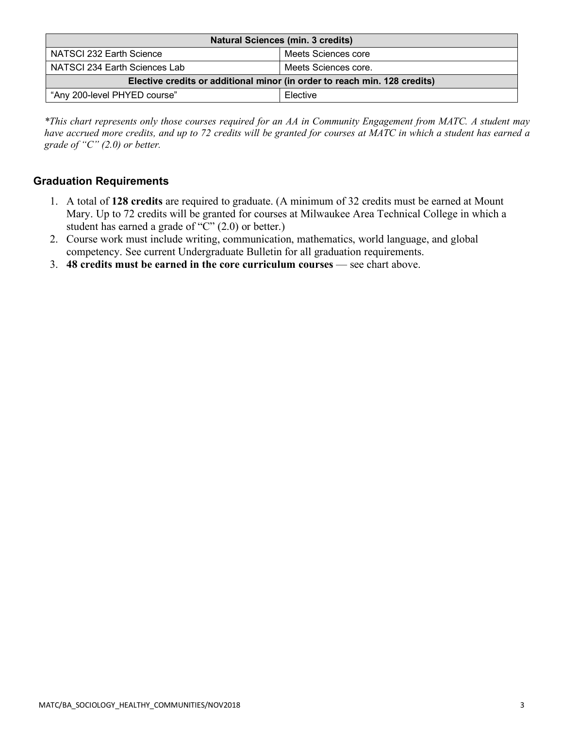| <b>Natural Sciences (min. 3 credits)</b>                                  |                      |  |
|---------------------------------------------------------------------------|----------------------|--|
| NATSCI 232 Earth Science                                                  | Meets Sciences core  |  |
| NATSCI 234 Earth Sciences Lab                                             | Meets Sciences core. |  |
| Elective credits or additional minor (in order to reach min. 128 credits) |                      |  |
| "Any 200-level PHYED course"                                              | Elective             |  |

*\*This chart represents only those courses required for an AA in Community Engagement from MATC. A student may have accrued more credits, and up to 72 credits will be granted for courses at MATC in which a student has earned a grade of "C" (2.0) or better.*

### **Graduation Requirements**

- 1. A total of **128 credits** are required to graduate. (A minimum of 32 credits must be earned at Mount Mary. Up to 72 credits will be granted for courses at Milwaukee Area Technical College in which a student has earned a grade of "C" (2.0) or better.)
- 2. Course work must include writing, communication, mathematics, world language, and global competency. See current Undergraduate Bulletin for all graduation requirements.
- 3. **48 credits must be earned in the core curriculum courses** see chart above.